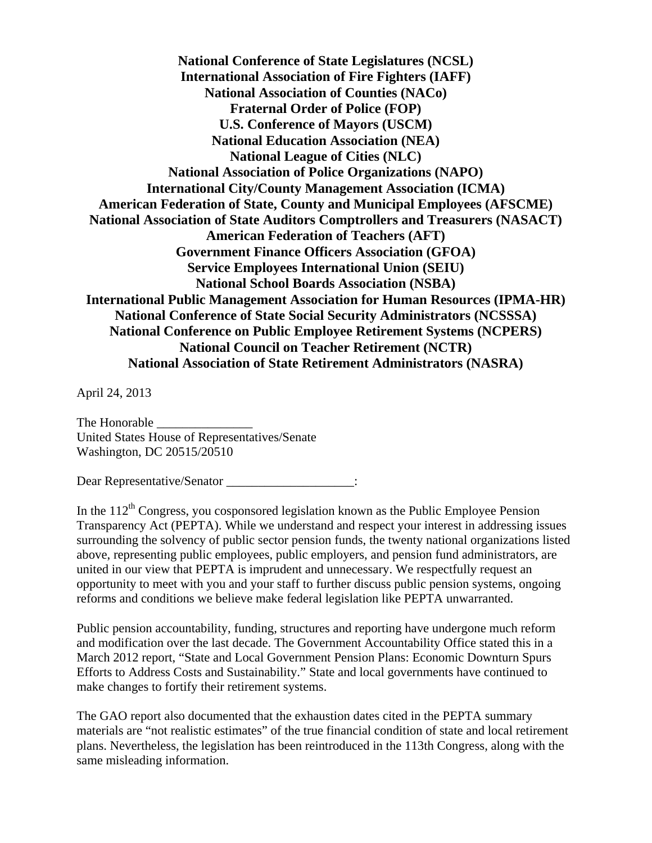**National Conference of State Legislatures (NCSL) International Association of Fire Fighters (IAFF) National Association of Counties (NACo) Fraternal Order of Police (FOP) U.S. Conference of Mayors (USCM) National Education Association (NEA) National League of Cities (NLC) National Association of Police Organizations (NAPO) International City/County Management Association (ICMA) American Federation of State, County and Municipal Employees (AFSCME) National Association of State Auditors Comptrollers and Treasurers (NASACT) American Federation of Teachers (AFT) Government Finance Officers Association (GFOA) Service Employees International Union (SEIU) National School Boards Association (NSBA) International Public Management Association for Human Resources (IPMA-HR) National Conference of State Social Security Administrators (NCSSSA) National Conference on Public Employee Retirement Systems (NCPERS) National Council on Teacher Retirement (NCTR) National Association of State Retirement Administrators (NASRA)** 

April 24, 2013

The Honorable United States House of Representatives/Senate Washington, DC 20515/20510

Dear Representative/Senator  $\therefore$ 

In the  $112<sup>th</sup>$  Congress, you cosponsored legislation known as the Public Employee Pension Transparency Act (PEPTA). While we understand and respect your interest in addressing issues surrounding the solvency of public sector pension funds, the twenty national organizations listed above, representing public employees, public employers, and pension fund administrators, are united in our view that PEPTA is imprudent and unnecessary. We respectfully request an opportunity to meet with you and your staff to further discuss public pension systems, ongoing reforms and conditions we believe make federal legislation like PEPTA unwarranted.

Public pension accountability, funding, structures and reporting have undergone much reform and modification over the last decade. The Government Accountability Office stated this in a March 2012 report, "State and Local Government Pension Plans: Economic Downturn Spurs Efforts to Address Costs and Sustainability." State and local governments have continued to make changes to fortify their retirement systems.

The GAO report also documented that the exhaustion dates cited in the PEPTA summary materials are "not realistic estimates" of the true financial condition of state and local retirement plans. Nevertheless, the legislation has been reintroduced in the 113th Congress, along with the same misleading information.